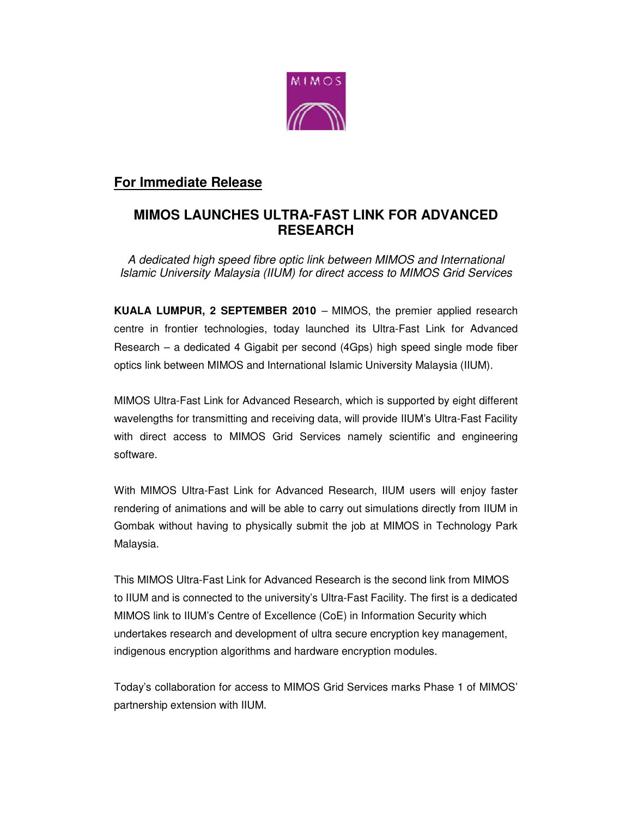

# **For Immediate Release**

# **MIMOS LAUNCHES ULTRA-FAST LINK FOR ADVANCED RESEARCH**

A dedicated high speed fibre optic link between MIMOS and International Islamic University Malaysia (IIUM) for direct access to MIMOS Grid Services

**KUALA LUMPUR, 2 SEPTEMBER 2010** – MIMOS, the premier applied research centre in frontier technologies, today launched its Ultra-Fast Link for Advanced Research – a dedicated 4 Gigabit per second (4Gps) high speed single mode fiber optics link between MIMOS and International Islamic University Malaysia (IIUM).

MIMOS Ultra-Fast Link for Advanced Research, which is supported by eight different wavelengths for transmitting and receiving data, will provide IIUM's Ultra-Fast Facility with direct access to MIMOS Grid Services namely scientific and engineering software.

With MIMOS Ultra-Fast Link for Advanced Research, IIUM users will enjoy faster rendering of animations and will be able to carry out simulations directly from IIUM in Gombak without having to physically submit the job at MIMOS in Technology Park Malaysia.

This MIMOS Ultra-Fast Link for Advanced Research is the second link from MIMOS to IIUM and is connected to the university's Ultra-Fast Facility. The first is a dedicated MIMOS link to IIUM's Centre of Excellence (CoE) in Information Security which undertakes research and development of ultra secure encryption key management, indigenous encryption algorithms and hardware encryption modules.

Today's collaboration for access to MIMOS Grid Services marks Phase 1 of MIMOS' partnership extension with IIUM.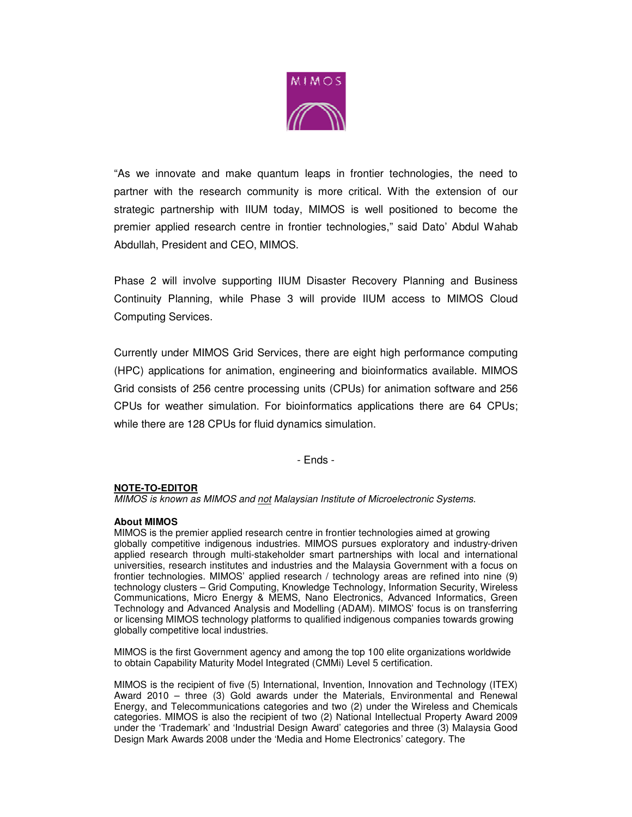

"As we innovate and make quantum leaps in frontier technologies, the need to partner with the research community is more critical. With the extension of our strategic partnership with IIUM today, MIMOS is well positioned to become the premier applied research centre in frontier technologies," said Dato' Abdul Wahab Abdullah, President and CEO, MIMOS.

Phase 2 will involve supporting IIUM Disaster Recovery Planning and Business Continuity Planning, while Phase 3 will provide IIUM access to MIMOS Cloud Computing Services.

Currently under MIMOS Grid Services, there are eight high performance computing (HPC) applications for animation, engineering and bioinformatics available. MIMOS Grid consists of 256 centre processing units (CPUs) for animation software and 256 CPUs for weather simulation. For bioinformatics applications there are 64 CPUs; while there are 128 CPUs for fluid dynamics simulation.

- Ends -

### **NOTE-TO-EDITOR**

MIMOS is known as MIMOS and not Malaysian Institute of Microelectronic Systems.

#### **About MIMOS**

MIMOS is the premier applied research centre in frontier technologies aimed at growing globally competitive indigenous industries. MIMOS pursues exploratory and industry-driven applied research through multi-stakeholder smart partnerships with local and international universities, research institutes and industries and the Malaysia Government with a focus on frontier technologies. MIMOS' applied research / technology areas are refined into nine (9) technology clusters – Grid Computing, Knowledge Technology, Information Security, Wireless Communications, Micro Energy & MEMS, Nano Electronics, Advanced Informatics, Green Technology and Advanced Analysis and Modelling (ADAM). MIMOS' focus is on transferring or licensing MIMOS technology platforms to qualified indigenous companies towards growing globally competitive local industries.

MIMOS is the first Government agency and among the top 100 elite organizations worldwide to obtain Capability Maturity Model Integrated (CMMi) Level 5 certification.

MIMOS is the recipient of five (5) International, Invention, Innovation and Technology (ITEX) Award 2010 – three (3) Gold awards under the Materials, Environmental and Renewal Energy, and Telecommunications categories and two (2) under the Wireless and Chemicals categories. MIMOS is also the recipient of two (2) National Intellectual Property Award 2009 under the 'Trademark' and 'Industrial Design Award' categories and three (3) Malaysia Good Design Mark Awards 2008 under the 'Media and Home Electronics' category. The